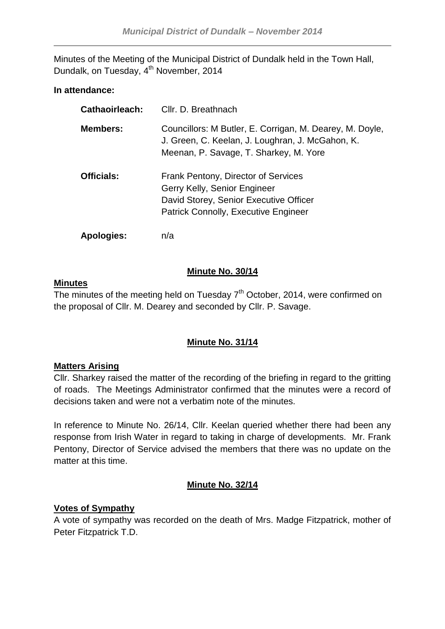Minutes of the Meeting of the Municipal District of Dundalk held in the Town Hall, Dundalk, on Tuesday, 4<sup>th</sup> November, 2014

## **In attendance:**

| Cathaoirleach:    | Cllr. D. Breathnach                                                                                                                                          |
|-------------------|--------------------------------------------------------------------------------------------------------------------------------------------------------------|
| <b>Members:</b>   | Councillors: M Butler, E. Corrigan, M. Dearey, M. Doyle,<br>J. Green, C. Keelan, J. Loughran, J. McGahon, K.<br>Meenan, P. Savage, T. Sharkey, M. Yore       |
| <b>Officials:</b> | Frank Pentony, Director of Services<br>Gerry Kelly, Senior Engineer<br>David Storey, Senior Executive Officer<br><b>Patrick Connolly, Executive Engineer</b> |
| <b>Apologies:</b> | n/a                                                                                                                                                          |

## **Minute No. 30/14**

### **Minutes**

The minutes of the meeting held on Tuesday  $7<sup>th</sup>$  October, 2014, were confirmed on the proposal of Cllr. M. Dearey and seconded by Cllr. P. Savage.

## **Minute No. 31/14**

### **Matters Arising**

Cllr. Sharkey raised the matter of the recording of the briefing in regard to the gritting of roads. The Meetings Administrator confirmed that the minutes were a record of decisions taken and were not a verbatim note of the minutes.

In reference to Minute No. 26/14, Cllr. Keelan queried whether there had been any response from Irish Water in regard to taking in charge of developments. Mr. Frank Pentony, Director of Service advised the members that there was no update on the matter at this time.

## **Minute No. 32/14**

## **Votes of Sympathy**

A vote of sympathy was recorded on the death of Mrs. Madge Fitzpatrick, mother of Peter Fitzpatrick T.D.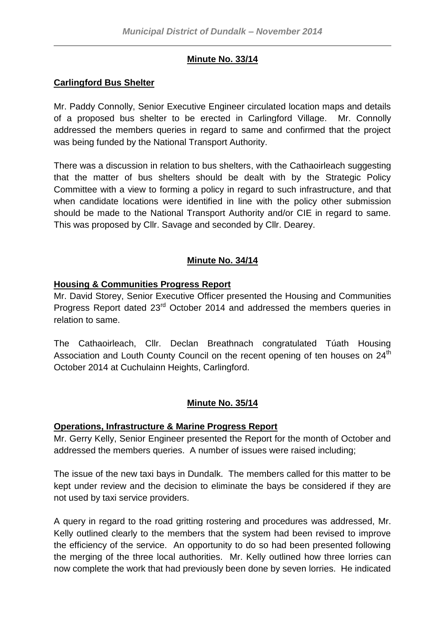# **Minute No. 33/14**

# **Carlingford Bus Shelter**

Mr. Paddy Connolly, Senior Executive Engineer circulated location maps and details of a proposed bus shelter to be erected in Carlingford Village. Mr. Connolly addressed the members queries in regard to same and confirmed that the project was being funded by the National Transport Authority.

There was a discussion in relation to bus shelters, with the Cathaoirleach suggesting that the matter of bus shelters should be dealt with by the Strategic Policy Committee with a view to forming a policy in regard to such infrastructure, and that when candidate locations were identified in line with the policy other submission should be made to the National Transport Authority and/or CIE in regard to same. This was proposed by Cllr. Savage and seconded by Cllr. Dearey.

# **Minute No. 34/14**

## **Housing & Communities Progress Report**

Mr. David Storey, Senior Executive Officer presented the Housing and Communities Progress Report dated 23rd October 2014 and addressed the members queries in relation to same.

The Cathaoirleach, Cllr. Declan Breathnach congratulated Túath Housing Association and Louth County Council on the recent opening of ten houses on 24<sup>th</sup> October 2014 at Cuchulainn Heights, Carlingford.

## **Minute No. 35/14**

## **Operations, Infrastructure & Marine Progress Report**

Mr. Gerry Kelly, Senior Engineer presented the Report for the month of October and addressed the members queries. A number of issues were raised including;

The issue of the new taxi bays in Dundalk. The members called for this matter to be kept under review and the decision to eliminate the bays be considered if they are not used by taxi service providers.

A query in regard to the road gritting rostering and procedures was addressed, Mr. Kelly outlined clearly to the members that the system had been revised to improve the efficiency of the service. An opportunity to do so had been presented following the merging of the three local authorities. Mr. Kelly outlined how three lorries can now complete the work that had previously been done by seven lorries. He indicated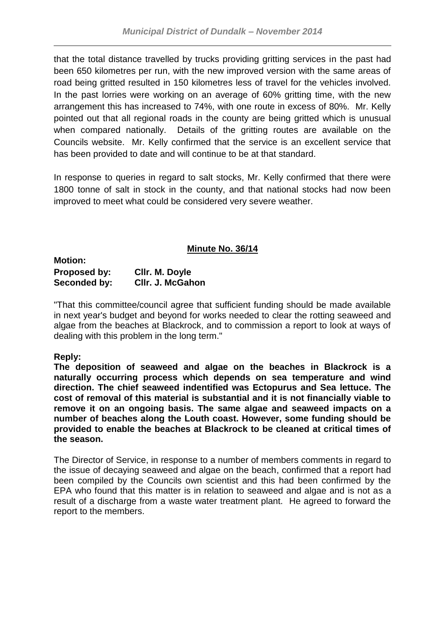that the total distance travelled by trucks providing gritting services in the past had been 650 kilometres per run, with the new improved version with the same areas of road being gritted resulted in 150 kilometres less of travel for the vehicles involved. In the past lorries were working on an average of 60% gritting time, with the new arrangement this has increased to 74%, with one route in excess of 80%. Mr. Kelly pointed out that all regional roads in the county are being gritted which is unusual when compared nationally. Details of the gritting routes are available on the Councils website. Mr. Kelly confirmed that the service is an excellent service that has been provided to date and will continue to be at that standard.

In response to queries in regard to salt stocks, Mr. Kelly confirmed that there were 1800 tonne of salt in stock in the county, and that national stocks had now been improved to meet what could be considered very severe weather.

## **Minute No. 36/14**

**Motion: Proposed by: Cllr. M. Doyle Seconded by: Cllr. J. McGahon**

"That this committee/council agree that sufficient funding should be made available in next year's budget and beyond for works needed to clear the rotting seaweed and algae from the beaches at Blackrock, and to commission a report to look at ways of dealing with this problem in the long term."

## **Reply:**

**The deposition of seaweed and algae on the beaches in Blackrock is a naturally occurring process which depends on sea temperature and wind direction. The chief seaweed indentified was Ectopurus and Sea lettuce. The cost of removal of this material is substantial and it is not financially viable to remove it on an ongoing basis. The same algae and seaweed impacts on a number of beaches along the Louth coast. However, some funding should be provided to enable the beaches at Blackrock to be cleaned at critical times of the season.**

The Director of Service, in response to a number of members comments in regard to the issue of decaying seaweed and algae on the beach, confirmed that a report had been compiled by the Councils own scientist and this had been confirmed by the EPA who found that this matter is in relation to seaweed and algae and is not as a result of a discharge from a waste water treatment plant. He agreed to forward the report to the members.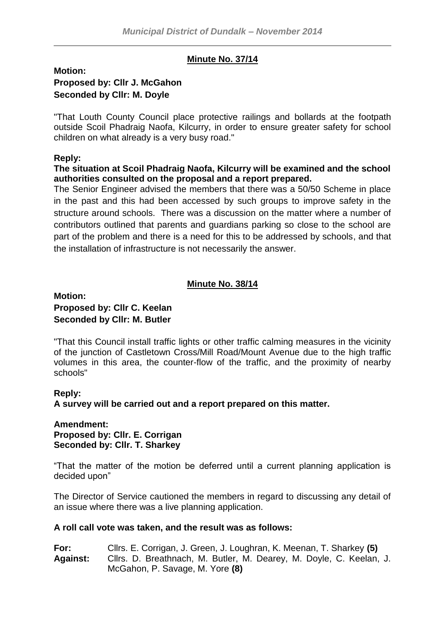## **Minute No. 37/14**

## **Motion: Proposed by: Cllr J. McGahon Seconded by Cllr: M. Doyle**

"That Louth County Council place protective railings and bollards at the footpath outside Scoil Phadraig Naofa, Kilcurry, in order to ensure greater safety for school children on what already is a very busy road."

#### **Reply:**

#### **The situation at Scoil Phadraig Naofa, Kilcurry will be examined and the school authorities consulted on the proposal and a report prepared.**

The Senior Engineer advised the members that there was a 50/50 Scheme in place in the past and this had been accessed by such groups to improve safety in the structure around schools. There was a discussion on the matter where a number of contributors outlined that parents and guardians parking so close to the school are part of the problem and there is a need for this to be addressed by schools, and that the installation of infrastructure is not necessarily the answer.

## **Minute No. 38/14**

### **Motion: Proposed by: Cllr C. Keelan Seconded by Cllr: M. Butler**

"That this Council install traffic lights or other traffic calming measures in the vicinity of the junction of Castletown Cross/Mill Road/Mount Avenue due to the high traffic volumes in this area, the counter-flow of the traffic, and the proximity of nearby schools"

### **Reply:**

**A survey will be carried out and a report prepared on this matter.**

#### **Amendment: Proposed by: Cllr. E. Corrigan Seconded by: Cllr. T. Sharkey**

"That the matter of the motion be deferred until a current planning application is decided upon"

The Director of Service cautioned the members in regard to discussing any detail of an issue where there was a live planning application.

#### **A roll call vote was taken, and the result was as follows:**

**For:** Cllrs. E. Corrigan, J. Green, J. Loughran, K. Meenan, T. Sharkey **(5) Against:** Cllrs. D. Breathnach, M. Butler, M. Dearey, M. Doyle, C. Keelan, J. McGahon, P. Savage, M. Yore **(8)**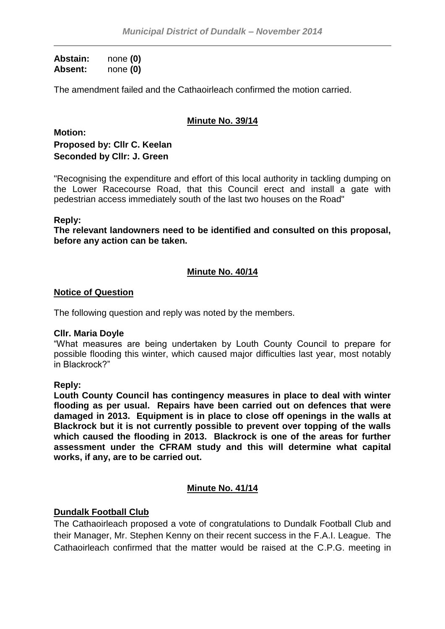**Abstain:** none **(0) Absent:** none **(0)**

The amendment failed and the Cathaoirleach confirmed the motion carried.

## **Minute No. 39/14**

**Motion: Proposed by: Cllr C. Keelan Seconded by Cllr: J. Green**

"Recognising the expenditure and effort of this local authority in tackling dumping on the Lower Racecourse Road, that this Council erect and install a gate with pedestrian access immediately south of the last two houses on the Road"

#### **Reply:**

**The relevant landowners need to be identified and consulted on this proposal, before any action can be taken.**

### **Minute No. 40/14**

#### **Notice of Question**

The following question and reply was noted by the members.

#### **Cllr. Maria Doyle**

"What measures are being undertaken by Louth County Council to prepare for possible flooding this winter, which caused major difficulties last year, most notably in Blackrock?"

#### **Reply:**

**Louth County Council has contingency measures in place to deal with winter flooding as per usual. Repairs have been carried out on defences that were damaged in 2013. Equipment is in place to close off openings in the walls at Blackrock but it is not currently possible to prevent over topping of the walls which caused the flooding in 2013. Blackrock is one of the areas for further assessment under the CFRAM study and this will determine what capital works, if any, are to be carried out.**

### **Minute No. 41/14**

### **Dundalk Football Club**

The Cathaoirleach proposed a vote of congratulations to Dundalk Football Club and their Manager, Mr. Stephen Kenny on their recent success in the F.A.I. League. The Cathaoirleach confirmed that the matter would be raised at the C.P.G. meeting in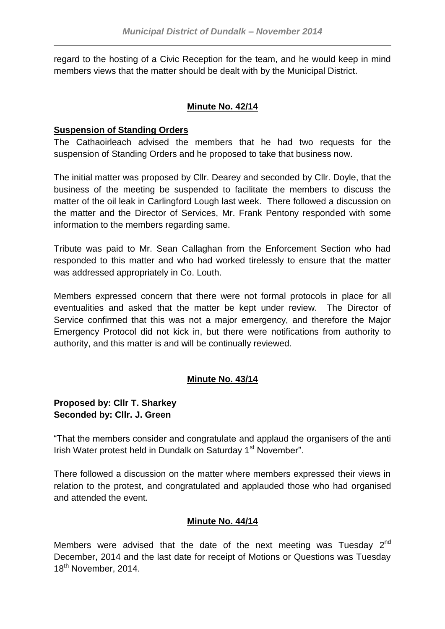regard to the hosting of a Civic Reception for the team, and he would keep in mind members views that the matter should be dealt with by the Municipal District.

## **Minute No. 42/14**

### **Suspension of Standing Orders**

The Cathaoirleach advised the members that he had two requests for the suspension of Standing Orders and he proposed to take that business now.

The initial matter was proposed by Cllr. Dearey and seconded by Cllr. Doyle, that the business of the meeting be suspended to facilitate the members to discuss the matter of the oil leak in Carlingford Lough last week. There followed a discussion on the matter and the Director of Services, Mr. Frank Pentony responded with some information to the members regarding same.

Tribute was paid to Mr. Sean Callaghan from the Enforcement Section who had responded to this matter and who had worked tirelessly to ensure that the matter was addressed appropriately in Co. Louth.

Members expressed concern that there were not formal protocols in place for all eventualities and asked that the matter be kept under review. The Director of Service confirmed that this was not a major emergency, and therefore the Major Emergency Protocol did not kick in, but there were notifications from authority to authority, and this matter is and will be continually reviewed.

## **Minute No. 43/14**

### **Proposed by: Cllr T. Sharkey Seconded by: Cllr. J. Green**

"That the members consider and congratulate and applaud the organisers of the anti Irish Water protest held in Dundalk on Saturday 1<sup>st</sup> November".

There followed a discussion on the matter where members expressed their views in relation to the protest, and congratulated and applauded those who had organised and attended the event.

### **Minute No. 44/14**

Members were advised that the date of the next meeting was Tuesday  $2^{nd}$ December, 2014 and the last date for receipt of Motions or Questions was Tuesday 18<sup>th</sup> November, 2014.